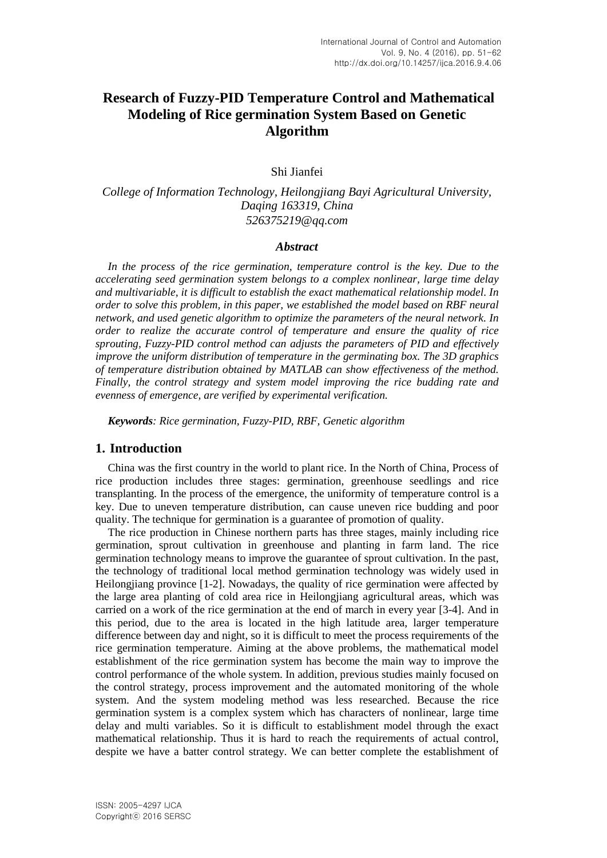# **Research of Fuzzy-PID Temperature Control and Mathematical Modeling of Rice germination System Based on Genetic Algorithm**

Shi Jianfei

*College of Information Technology, Heilongjiang Bayi Agricultural University, Daqing 163319, China [526375219@qq.com](mailto:526375219@qq.com)*

#### *Abstract*

*In the process of the rice germination, temperature control is the key. Due to the accelerating seed germination system belongs to a complex nonlinear, large time delay and multivariable, it is difficult to establish the exact mathematical relationship model. In order to solve this problem, in this paper, we established the model based on RBF neural network, and used genetic algorithm to optimize the parameters of the neural network. In order to realize the accurate control of temperature and ensure the quality of rice sprouting, Fuzzy-PID control method can adjusts the parameters of PID and effectively improve the uniform distribution of temperature in the germinating box. The 3D graphics of temperature distribution obtained by MATLAB can show effectiveness of the method. Finally, the control strategy and system model improving the rice budding rate and evenness of emergence, are verified by experimental verification.*

*Keywords: Rice germination, Fuzzy-PID, RBF, Genetic algorithm*

### **1. Introduction**

China was the first country in the world to plant rice. In the North of China, Process of rice production includes three stages: germination, greenhouse seedlings and rice transplanting. In the process of the emergence, the uniformity of temperature control is a key. Due to uneven temperature distribution, can cause uneven rice budding and poor quality. The technique for germination is a guarantee of promotion of quality.

The rice production in Chinese northern parts has three stages, mainly including rice germination, sprout cultivation in greenhouse and planting in farm land. The rice germination technology means to improve the guarantee of sprout cultivation. In the past, the technology of traditional local method germination technology was widely used in Heilongjiang province [1-2]. Nowadays, the quality of rice germination were affected by the large area planting of cold area rice in Heilongjiang agricultural areas, which was carried on a work of the rice germination at the end of march in every year [3-4]. And in this period, due to the area is located in the high latitude area, larger temperature difference between day and night, so it is difficult to meet the process requirements of the rice germination temperature. Aiming at the above problems, the mathematical model establishment of the rice germination system has become the main way to improve the control performance of the whole system. In addition, previous studies mainly focused on the control strategy, process improvement and the automated monitoring of the whole system. And the system modeling method was less researched. Because the rice germination system is a complex system which has characters of nonlinear, large time delay and multi variables. So it is difficult to establishment model through the exact mathematical relationship. Thus it is hard to reach the requirements of actual control, despite we have a batter control strategy. We can better complete the establishment of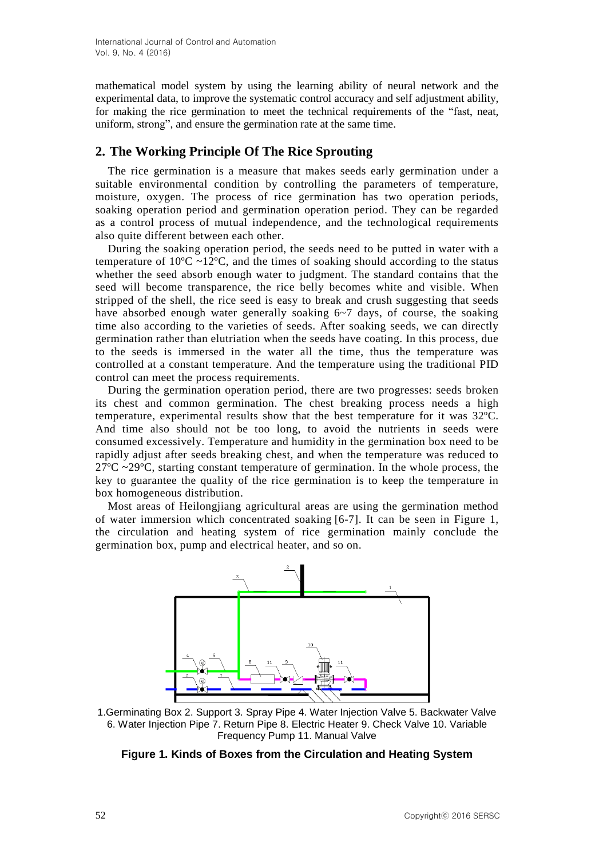mathematical model system by using the learning ability of neural network and the experimental data, to improve the systematic control accuracy and self adjustment ability, for making the rice germination to meet the technical requirements of the "fast, neat, uniform, strong", and ensure the germination rate at the same time.

## **2. The Working Principle Of The Rice Sprouting**

The rice germination is a measure that makes seeds early germination under a suitable environmental condition by controlling the parameters of temperature, moisture, oxygen. The process of rice germination has two operation periods, soaking operation period and germination operation period. They can be regarded as a control process of mutual independence, and the technological requirements also quite different between each other.

During the soaking operation period, the seeds need to be putted in water with a temperature of  $10^{\circ}$ C ~12<sup>o</sup>C, and the times of soaking should according to the status whether the seed absorb enough water to judgment. The standard contains that the seed will become transparence, the rice belly becomes white and visible. When stripped of the shell, the rice seed is easy to break and crush suggesting that seeds have absorbed enough water generally soaking  $6\neg 7$  days, of course, the soaking time also according to the varieties of seeds. After soaking seeds, we can directly germination rather than elutriation when the seeds have coating. In this process, due to the seeds is immersed in the water all the time, thus the temperature was controlled at a constant temperature. And the temperature using the traditional PID control can meet the process requirements.

During the germination operation period, there are two progresses: seeds broken its chest and common germination. The chest breaking process needs a high temperature, experimental results show that the best temperature for it was 32ºC. And time also should not be too long, to avoid the nutrients in seeds were consumed excessively. Temperature and humidity in the germination box need to be rapidly adjust after seeds breaking chest, and when the temperature was reduced to  $27^{\circ}$ C ~29 $^{\circ}$ C, starting constant temperature of germination. In the whole process, the key to guarantee the quality of the rice germination is to keep the temperature in box homogeneous distribution.

Most areas of Heilongjiang agricultural areas are using the germination method of water immersion which concentrated soaking [6-7]. It can be seen in Figure 1, the circulation and heating system of rice germination mainly conclude the germination box, pump and electrical heater, and so on.



1.Germinating Box 2. Support 3. Spray Pipe 4. Water Injection Valve 5. Backwater Valve 6. Water Injection Pipe 7. Return Pipe 8. Electric Heater 9. Check Valve 10. Variable Frequency Pump 11. Manual Valve

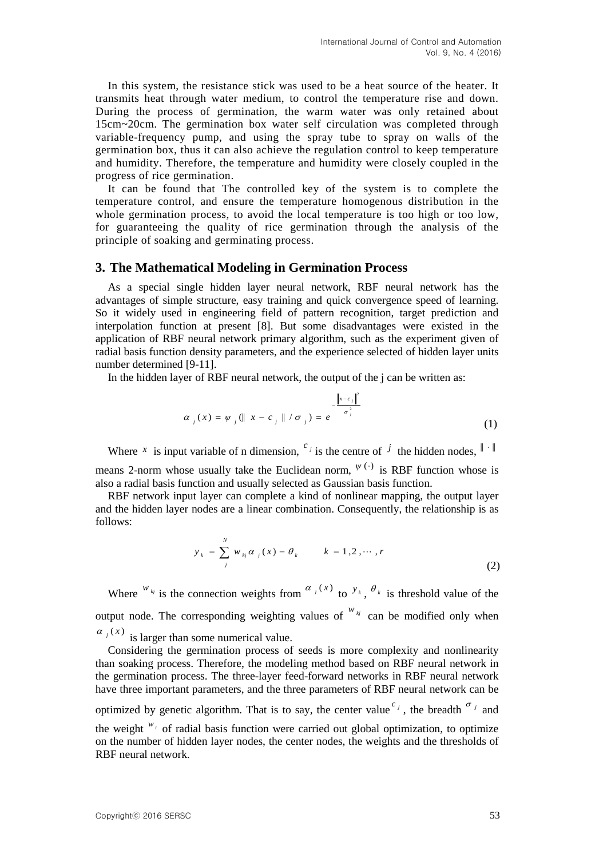In this system, the resistance stick was used to be a heat source of the heater. It transmits heat through water medium, to control the temperature rise and down. During the process of germination, the warm water was only retained about 15cm~20cm. The germination box water self circulation was completed through variable-frequency pump, and using the spray tube to spray on walls of the germination box, thus it can also achieve the regulation control to keep temperature and humidity. Therefore, the temperature and humidity were closely coupled in the progress of rice germination.

It can be found that The controlled key of the system is to complete the temperature control, and ensure the temperature homogenous distribution in the whole germination process, to avoid the local temperature is too high or too low, for guaranteeing the quality of rice germination through the analysis of the principle of soaking and germinating process.

#### **3. The Mathematical Modeling in Germination Process**

As a special single hidden layer neural network, RBF neural network has the advantages of simple structure, easy training and quick convergence speed of learning. So it widely used in engineering field of pattern recognition, target prediction and interpolation function at present [8]. But some disadvantages were existed in the application of RBF neural network primary algorithm, such as the experiment given of radial basis function density parameters, and the experience selected of hidden layer units number determined [9-11].

In the hidden layer of RBF neural network, the output of the j can be written as:

$$
\alpha_{j}(x) = \psi_{j}(\parallel x - c_{j} \parallel / \sigma_{j}) = e^{-\frac{\left\|\mathbf{x} - c_{j}\right\|^{2}}{\sigma_{j}^{2}}}
$$
\n(1)

Where *x* is input variable of n dimension, <sup>*c*</sup> is the centre of <sup>*j*</sup> the hidden nodes,  $\|\cdot\|$ means 2-norm whose usually take the Euclidean norm,  $\psi^{(\cdot)}$  is RBF function whose is also a radial basis function and usually selected as Gaussian basis function.

RBF network input layer can complete a kind of nonlinear mapping, the output layer and the hidden layer nodes are a linear combination. Consequently, the relationship is as follows:

$$
y_{k} = \sum_{j}^{N} w_{kj} \alpha_{j}(x) - \theta_{k} \qquad k = 1, 2, \cdots, r
$$
 (2)

Where  $w_{kj}$  is the connection weights from  $\alpha_j(x)$  to  $y_k$ ,  $\theta_k$  is threshold value of the output node. The corresponding weighting values of  $W_{kj}$  can be modified only when  $\alpha_j(x)$  is larger than some numerical value.

Considering the germination process of seeds is more complexity and nonlinearity than soaking process. Therefore, the modeling method based on RBF neural network in the germination process. The three-layer feed-forward networks in RBF neural network have three important parameters, and the three parameters of RBF neural network can be

optimized by genetic algorithm. That is to say, the center value  $\int_{0}^{c_j}$ , the breadth  $\int_{0}^{\sigma_j}$  and

the weight  $W_i$  of radial basis function were carried out global optimization, to optimize on the number of hidden layer nodes, the center nodes, the weights and the thresholds of RBF neural network.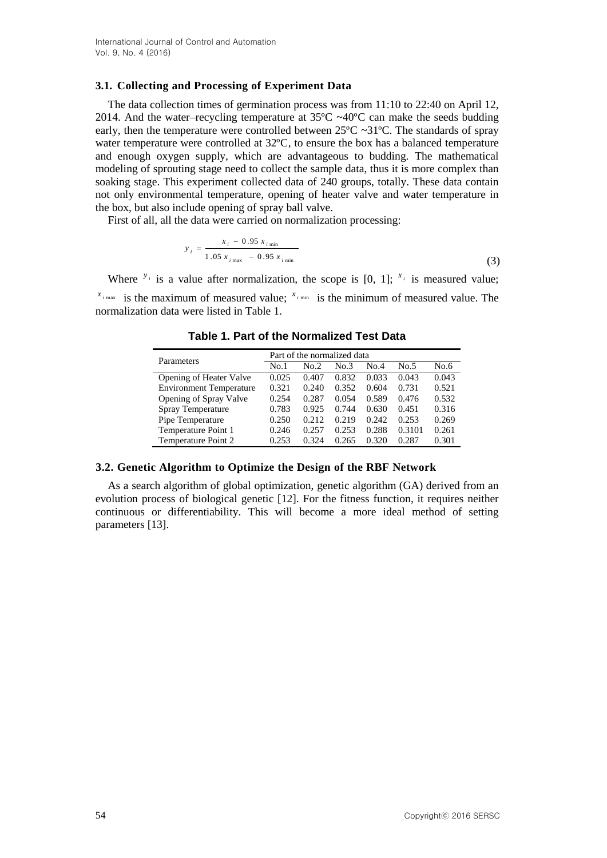#### **3.1. Collecting and Processing of Experiment Data**

The data collection times of germination process was from 11:10 to 22:40 on April 12, 2014. And the water–recycling temperature at  $35^{\circ}$ C ~40 $^{\circ}$ C can make the seeds budding early, then the temperature were controlled between  $25^{\circ}C \sim 31^{\circ}C$ . The standards of spray water temperature were controlled at 32ºC, to ensure the box has a balanced temperature and enough oxygen supply, which are advantageous to budding. The mathematical modeling of sprouting stage need to collect the sample data, thus it is more complex than soaking stage. This experiment collected data of 240 groups, totally. These data contain not only environmental temperature, opening of heater valve and water temperature in the box, but also include opening of spray ball valve.

First of all, all the data were carried on normalization processing:

$$
y_i = \frac{x_i - 0.95 x_{i \text{ min}}}{1.05 x_{i \text{ max}} - 0.95 x_{i \text{ min}}}
$$
(3)

Where  $y_i$  is a value after normalization, the scope is [0, 1];  $x_i$  is measured value;  $\lambda^{x_{i_{\text{max}}}}$  is the maximum of measured value;  $\lambda^{x_{i_{\text{min}}}}$  is the minimum of measured value. The normalization data were listed in Table 1.

| Parameters                     | Part of the normalized data |       |       |       |        |       |
|--------------------------------|-----------------------------|-------|-------|-------|--------|-------|
|                                | No.1                        | No.2  | No.3  | No.4  | No.5   | No.6  |
| Opening of Heater Valve        | 0.025                       | 0.407 | 0.832 | 0.033 | 0.043  | 0.043 |
| <b>Environment Temperature</b> | 0.321                       | 0.240 | 0.352 | 0.604 | 0.731  | 0.521 |
| Opening of Spray Valve         | 0.254                       | 0.287 | 0.054 | 0.589 | 0.476  | 0.532 |
| Spray Temperature              | 0.783                       | 0.925 | 0.744 | 0.630 | 0.451  | 0.316 |
| Pipe Temperature               | 0.250                       | 0.212 | 0.219 | 0.242 | 0.253  | 0.269 |
| Temperature Point 1            | 0.246                       | 0.257 | 0.253 | 0.288 | 0.3101 | 0.261 |
| Temperature Point 2            | 0.253                       | 0.324 | 0.265 | 0.320 | 0.287  | 0.301 |

**Table 1. Part of the Normalized Test Data**

## **3.2. Genetic Algorithm to Optimize the Design of the RBF Network**

As a search algorithm of global optimization, genetic algorithm (GA) derived from an evolution process of biological genetic [12]. For the fitness function, it requires neither continuous or differentiability. This will become a more ideal method of setting parameters [13].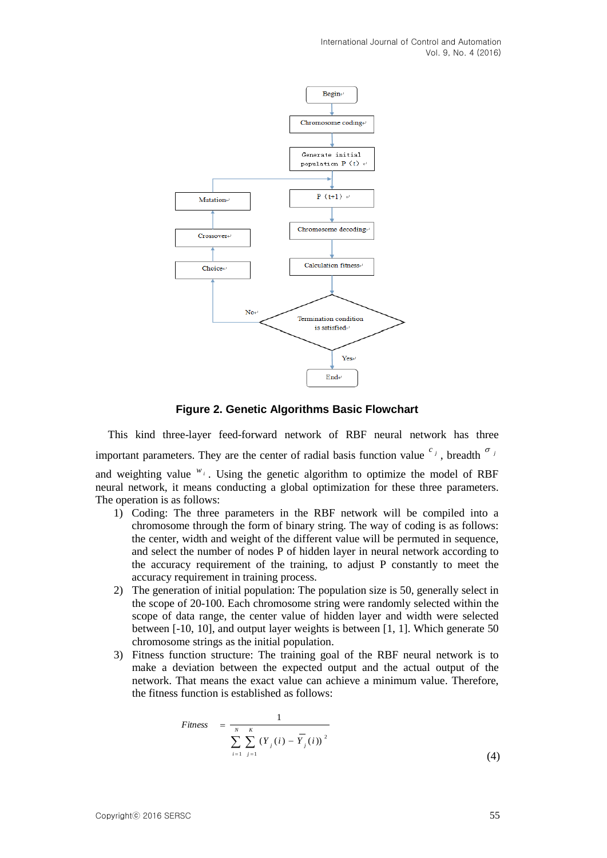International Journal of Control and Automation Vol. 9, No. 4 (2016)



**Figure 2. Genetic Algorithms Basic Flowchart**

This kind three-layer feed-forward network of RBF neural network has three important parameters. They are the center of radial basis function value  $\int$ <sup>c</sup>, breadth  $\int$ <sup>o</sup> and weighting value  $W_i$ . Using the genetic algorithm to optimize the model of RBF neural network, it means conducting a global optimization for these three parameters. The operation is as follows:

- 1) Coding: The three parameters in the RBF network will be compiled into a chromosome through the form of binary string. The way of coding is as follows: the center, width and weight of the different value will be permuted in sequence, and select the number of nodes P of hidden layer in neural network according to the accuracy requirement of the training, to adjust P constantly to meet the accuracy requirement in training process.
- 2) The generation of initial population: The population size is 50, generally select in the scope of 20-100. Each chromosome string were randomly selected within the scope of data range, the center value of hidden layer and width were selected between [-10, 10], and output layer weights is between [1, 1]. Which generate 50 chromosome strings as the initial population.
- 3) Fitness function structure: The training goal of the RBF neural network is to make a deviation between the expected output and the actual output of the network. That means the exact value can achieve a minimum value. Therefore, the fitness function is established as follows:

$$
Fitness = \frac{1}{\sum_{i=1}^{N} \sum_{j=1}^{K} (Y_j(i) - \overline{Y}_j(i))^2}
$$
(4)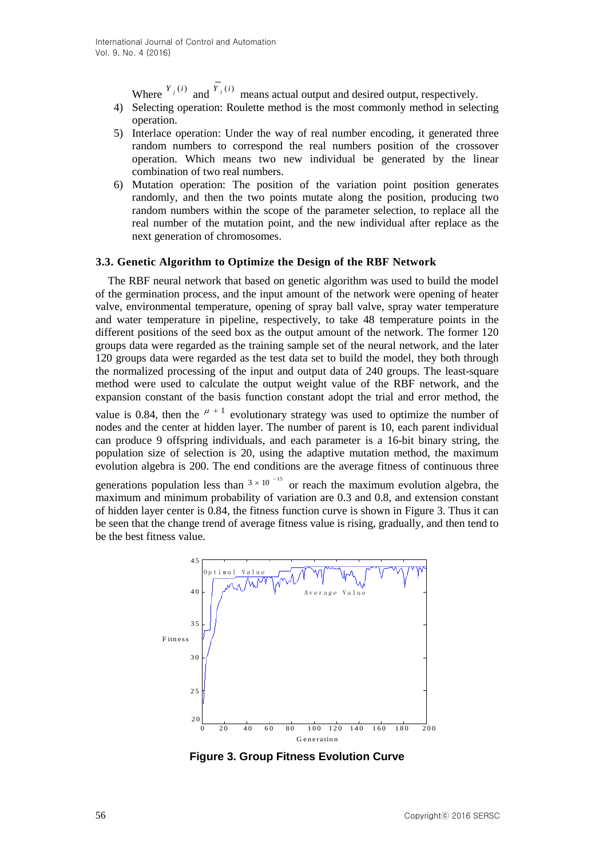Where  $Y_j(i)$  and  $Y_j(i)$  means actual output and desired output, respectively.

- 4) Selecting operation: Roulette method is the most commonly method in selecting operation.
- 5) Interlace operation: Under the way of real number encoding, it generated three random numbers to correspond the real numbers position of the crossover operation. Which means two new individual be generated by the linear combination of two real numbers.
- 6) Mutation operation: The position of the variation point position generates randomly, and then the two points mutate along the position, producing two random numbers within the scope of the parameter selection, to replace all the real number of the mutation point, and the new individual after replace as the next generation of chromosomes.

#### **3.3. Genetic Algorithm to Optimize the Design of the RBF Network**

The RBF neural network that based on genetic algorithm was used to build the model of the germination process, and the input amount of the network were opening of heater valve, environmental temperature, opening of spray ball valve, spray water temperature and water temperature in pipeline, respectively, to take 48 temperature points in the different positions of the seed box as the output amount of the network. The former 120 groups data were regarded as the training sample set of the neural network, and the later 120 groups data were regarded as the test data set to build the model, they both through the normalized processing of the input and output data of 240 groups. The least-square method were used to calculate the output weight value of the RBF network, and the expansion constant of the basis function constant adopt the trial and error method, the

value is 0.84, then the  $\mu$ <sup>+1</sup> evolutionary strategy was used to optimize the number of nodes and the center at hidden layer. The number of parent is 10, each parent individual can produce 9 offspring individuals, and each parameter is a 16-bit binary string, the population size of selection is 20, using the adaptive mutation method, the maximum evolution algebra is 200. The end conditions are the average fitness of continuous three

generations population less than  $3 \times 10^{-15}$  or reach the maximum evolution algebra, the maximum and minimum probability of variation are 0.3 and 0.8, and extension constant of hidden layer center is 0.84, the fitness function curve is shown in Figure 3. Thus it can be seen that the change trend of average fitness value is rising, gradually, and then tend to be the best fitness value.<br> $45$ 



**Figure 3. Group Fitness Evolution Curve**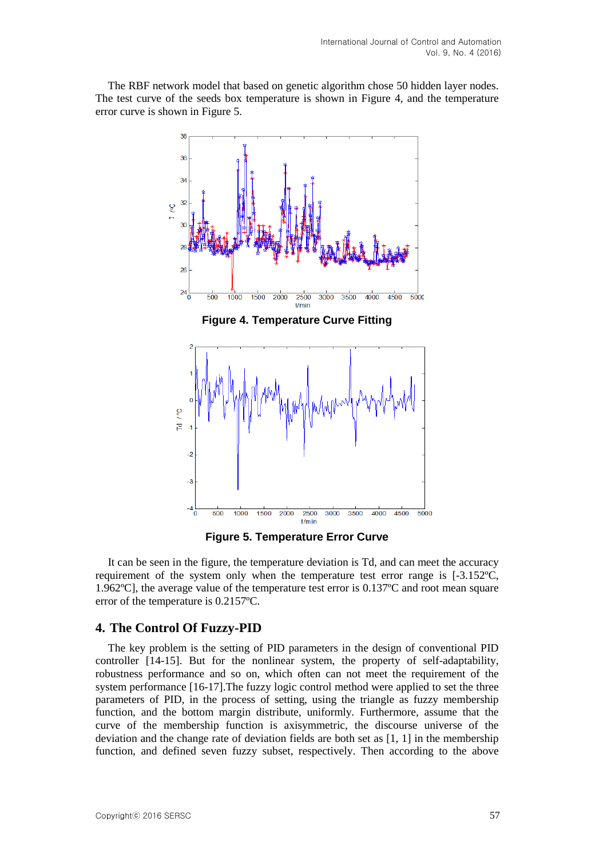The RBF network model that based on genetic algorithm chose 50 hidden layer nodes. The test curve of the seeds box temperature is shown in Figure 4, and the temperature error curve is shown in Figure 5.



**Figure 5. Temperature Error Curve**

It can be seen in the figure, the temperature deviation is Td, and can meet the accuracy requirement of the system only when the temperature test error range is [-3.152ºC, 1.962ºC], the average value of the temperature test error is 0.137ºC and root mean square error of the temperature is 0.2157ºC.

## **4. The Control Of Fuzzy-PID**

The key problem is the setting of PID parameters in the design of conventional PID controller [14-15]. But for the nonlinear system, the property of self-adaptability, robustness performance and so on, which often can not meet the requirement of the system performance [16-17].The fuzzy logic control method were applied to set the three parameters of PID, in the process of setting, using the triangle as fuzzy membership function, and the bottom margin distribute, uniformly. Furthermore, assume that the curve of the membership function is axisymmetric, the discourse universe of the deviation and the change rate of deviation fields are both set as [1, 1] in the membership function, and defined seven fuzzy subset, respectively. Then according to the above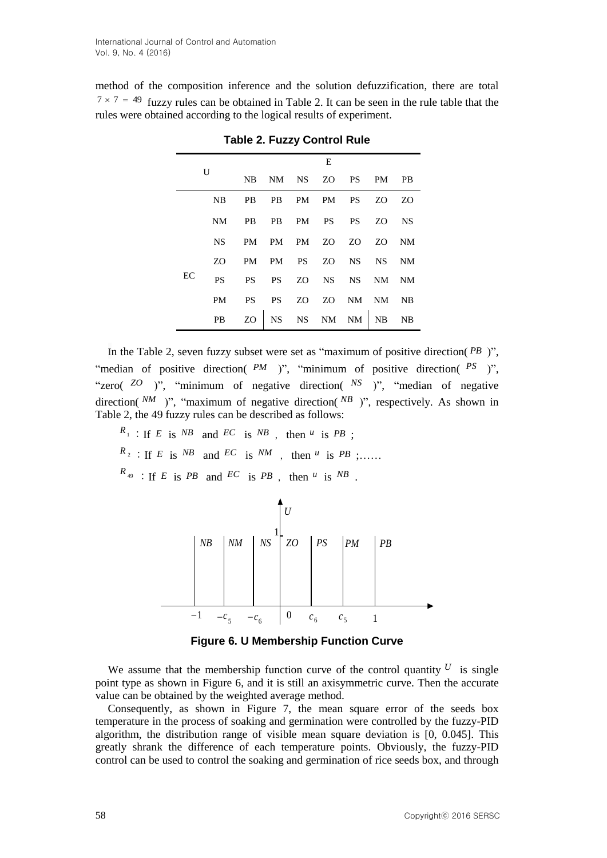method of the composition inference and the solution defuzzification, there are total  $7 \times 7 = 49$  fuzzy rules can be obtained in Table 2. It can be seen in the rule table that the rules were obtained according to the logical results of experiment.

| $\mathbf{U}$ |           | E                       |                   |  |  |                |  |                |
|--------------|-----------|-------------------------|-------------------|--|--|----------------|--|----------------|
|              |           | NB                      | NM NS ZO PS PM    |  |  |                |  | - PB           |
|              | <b>NB</b> |                         | PB PB PM PM PS ZO |  |  |                |  | Z <sub>O</sub> |
|              | NM.       | PB PB PM PS PS ZO NS    |                   |  |  |                |  |                |
|              | <b>NS</b> | PM PM PM ZO ZO ZO NM    |                   |  |  |                |  |                |
|              | ZO.       | PM PM PS ZO NS NS NM    |                   |  |  |                |  |                |
| EC           | <b>PS</b> | PS PS ZO NS NS NM       |                   |  |  |                |  | <b>NM</b>      |
|              | <b>PM</b> | PS —                    |                   |  |  | PS ZO ZO NM NM |  | $N_{\rm B}$    |
|              |           | PB ZO NS NS NM NM NB NB |                   |  |  |                |  |                |

**Table 2. Fuzzy Control Rule**

In the Table 2, seven fuzzy subset were set as "maximum of positive direction( *PB* )", "median of positive direction( PM )", "minimum of positive direction( PS )", "zero( <sup>ZO</sup> )", "minimum of negative direction( <sup>NS</sup> )", "median of negative direction( $^{NM}$ )", "maximum of negative direction( $^{NB}$ )", respectively. As shown in Table 2, the 49 fuzzy rules can be described as follows:

 $R_1$ : If *E* is *NB* and *EC* is *NB*, then *u* is *PB*;  $R_2$ : If *E* is *NB* and *EC* is *NM*, then *u* is *PB* ;.....  $R_{49}$  : If *E* is *PB* and *EC* is *PB*, then *u* is *NB*.



**Figure 6. U Membership Function Curve**

We assume that the membership function curve of the control quantity  $U$  is single point type as shown in Figure 6, and it is still an axisymmetric curve. Then the accurate value can be obtained by the weighted average method.

Consequently, as shown in Figure 7, the mean square error of the seeds box temperature in the process of soaking and germination were controlled by the fuzzy-PID algorithm, the distribution range of visible mean square deviation is [0, 0.045]. This greatly shrank the difference of each temperature points. Obviously, the fuzzy-PID control can be used to control the soaking and germination of rice seeds box, and through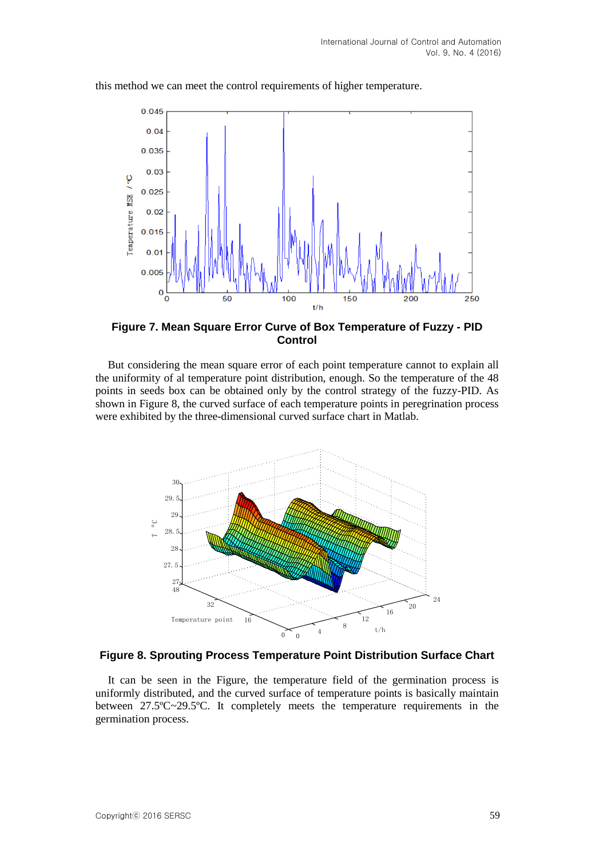

this method we can meet the control requirements of higher temperature.

**Figure 7. Mean Square Error Curve of Box Temperature of Fuzzy - PID Control**

But considering the mean square error of each point temperature cannot to explain all the uniformity of al temperature point distribution, enough. So the temperature of the 48 points in seeds box can be obtained only by the control strategy of the fuzzy-PID. As shown in Figure 8, the curved surface of each temperature points in peregrination process were exhibited by the three-dimensional curved surface chart in Matlab.



#### **Figure 8. Sprouting Process Temperature Point Distribution Surface Chart**

It can be seen in the Figure, the temperature field of the germination process is uniformly distributed, and the curved surface of temperature points is basically maintain between 27.5ºC~29.5ºC. It completely meets the temperature requirements in the germination process.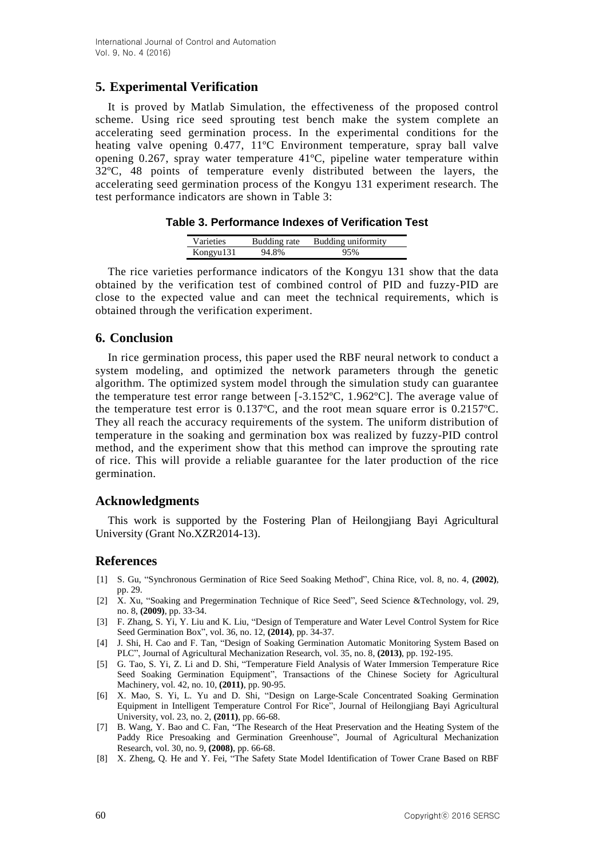## **5. Experimental Verification**

It is proved by Matlab Simulation, the effectiveness of the proposed control scheme. Using rice seed sprouting test bench make the system complete an accelerating seed germination process. In the experimental conditions for the heating valve opening 0.477, 11ºC Environment temperature, spray ball valve opening 0.267, spray water temperature 41ºC, pipeline water temperature within 32ºC, 48 points of temperature evenly distributed between the layers, the accelerating seed germination process of the Kongyu 131 experiment research. The test performance indicators are shown in Table 3:

**Table 3. Performance Indexes of Verification Test**

| <b>Varieties</b> | Budding rate | Budding uniformity |
|------------------|--------------|--------------------|
| Kongyu131        | 94.8%        |                    |

The rice varieties performance indicators of the Kongyu 131 show that the data obtained by the verification test of combined control of PID and fuzzy-PID are close to the expected value and can meet the technical requirements, which is obtained through the verification experiment.

## **6. Conclusion**

In rice germination process, this paper used the RBF neural network to conduct a system modeling, and optimized the network parameters through the genetic algorithm. The optimized system model through the simulation study can guarantee the temperature test error range between [-3.152ºC, 1.962ºC]. The average value of the temperature test error is 0.137ºC, and the root mean square error is 0.2157ºC. They all reach the accuracy requirements of the system. The uniform distribution of temperature in the soaking and germination box was realized by fuzzy-PID control method, and the experiment show that this method can improve the sprouting rate of rice. This will provide a reliable guarantee for the later production of the rice germination.

## **Acknowledgments**

This work is supported by the Fostering Plan of Heilongjiang Bayi Agricultural University (Grant No.XZR2014-13).

## **References**

- [1] S. Gu, "Synchronous Germination of Rice Seed Soaking Method", China Rice, vol. 8, no. 4, **(2002)**, pp. 29.
- [2] X. Xu, "Soaking and Pregermination Technique of Rice Seed", Seed Science &Technology, vol. 29, no. 8, **(2009)**, pp. 33-34.
- [3] F. Zhang, S. Yi, Y. Liu and K. Liu, "Design of Temperature and Water Level Control System for Rice Seed Germination Box", vol. 36, no. 12, **(2014)**, pp. 34-37.
- [4] J. Shi, H. Cao and F. Tan, "Design of Soaking Germination Automatic Monitoring System Based on PLC", Journal of Agricultural Mechanization Research, vol. 35, no. 8, **(2013)**, pp. 192-195.
- [5] G. Tao, S. Yi, Z. Li and D. Shi, "Temperature Field Analysis of Water Immersion Temperature Rice Seed Soaking Germination Equipment", Transactions of the Chinese Society for Agricultural Machinery, vol. 42, no. 10, **(2011)**, pp. 90-95.
- [6] X. Mao, S. Yi, L. Yu and D. Shi, "Design on Large-Scale Concentrated Soaking Germination Equipment in Intelligent Temperature Control For Rice", Journal of Heilongjiang Bayi Agricultural University, vol. 23, no. 2, **(2011)**, pp. 66-68.
- [7] B. Wang, Y. Bao and C. Fan, "The Research of the Heat Preservation and the Heating System of the Paddy Rice Presoaking and Germination Greenhouse", Journal of Agricultural Mechanization Research, vol. 30, no. 9, **(2008)**, pp. 66-68.
- [8] X. Zheng, Q. He and Y. Fei, "The Safety State Model Identification of Tower Crane Based on RBF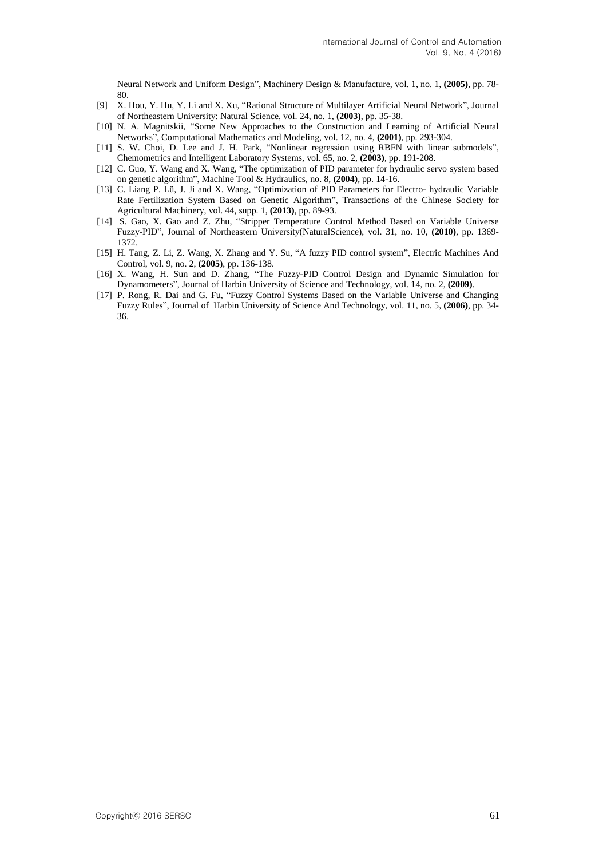Neural Network and Uniform Design", Machinery Design & Manufacture, vol. 1, no. 1, **(2005)**, pp. 78- 80.

- [9] X. Hou, Y. Hu, Y. Li and X. Xu, "Rational Structure of Multilayer Artificial Neural Network", Journal of Northeastern University: Natural Science, vol. 24, no. 1, **(2003)**, pp. 35-38.
- [10] N. A. Magnitskii, "Some New Approaches to the Construction and Learning of Artificial Neural Networks", Computational Mathematics and Modeling, vol. 12, no. 4, **(2001)**, pp. 293-304.
- [11] S. W. Choi, D. Lee and J. H. Park, "Nonlinear regression using RBFN with linear submodels", Chemometrics and Intelligent Laboratory Systems, vol. 65, no. 2, **(2003)**, pp. 191-208.
- [12] C. Guo, Y. Wang and X. Wang, "The optimization of PID parameter for hydraulic servo system based on genetic algorithm", Machine Tool & Hydraulics, no. 8, **(2004)**, pp. 14-16.
- [13] C. Liang P. Lü, J. Ji and X. Wang, "Optimization of PID Parameters for Electro- hydraulic Variable Rate Fertilization System Based on Genetic Algorithm", Transactions of the Chinese Society for Agricultural Machinery, vol. 44, supp. 1, **(2013)**, pp. 89-93.
- [14] S. Gao, X. Gao and Z. Zhu, "Stripper Temperature Control Method Based on Variable Universe Fuzzy-PID", Journal of Northeastern University(NaturalScience), vol. 31, no. 10, **(2010)**, pp. 1369- 1372.
- [15] H. Tang, Z. Li, Z. Wang, X. Zhang and Y. Su, "A fuzzy PID control system", Electric Machines And Control, vol. 9, no. 2, **(2005)**, pp. 136-138.
- [16] X. Wang, H. Sun and D. Zhang, "The Fuzzy-PID Control Design and Dynamic Simulation for Dynamometers", Journal of Harbin University of Science and Technology, vol. 14, no. 2, **(2009)**.
- [17] P. Rong, R. Dai and G. Fu, "Fuzzy Control Systems Based on the Variable Universe and Changing Fuzzy Rules", Journal of Harbin University of Science And Technology, vol. 11, no. 5, **(2006)**, pp. 34- 36.